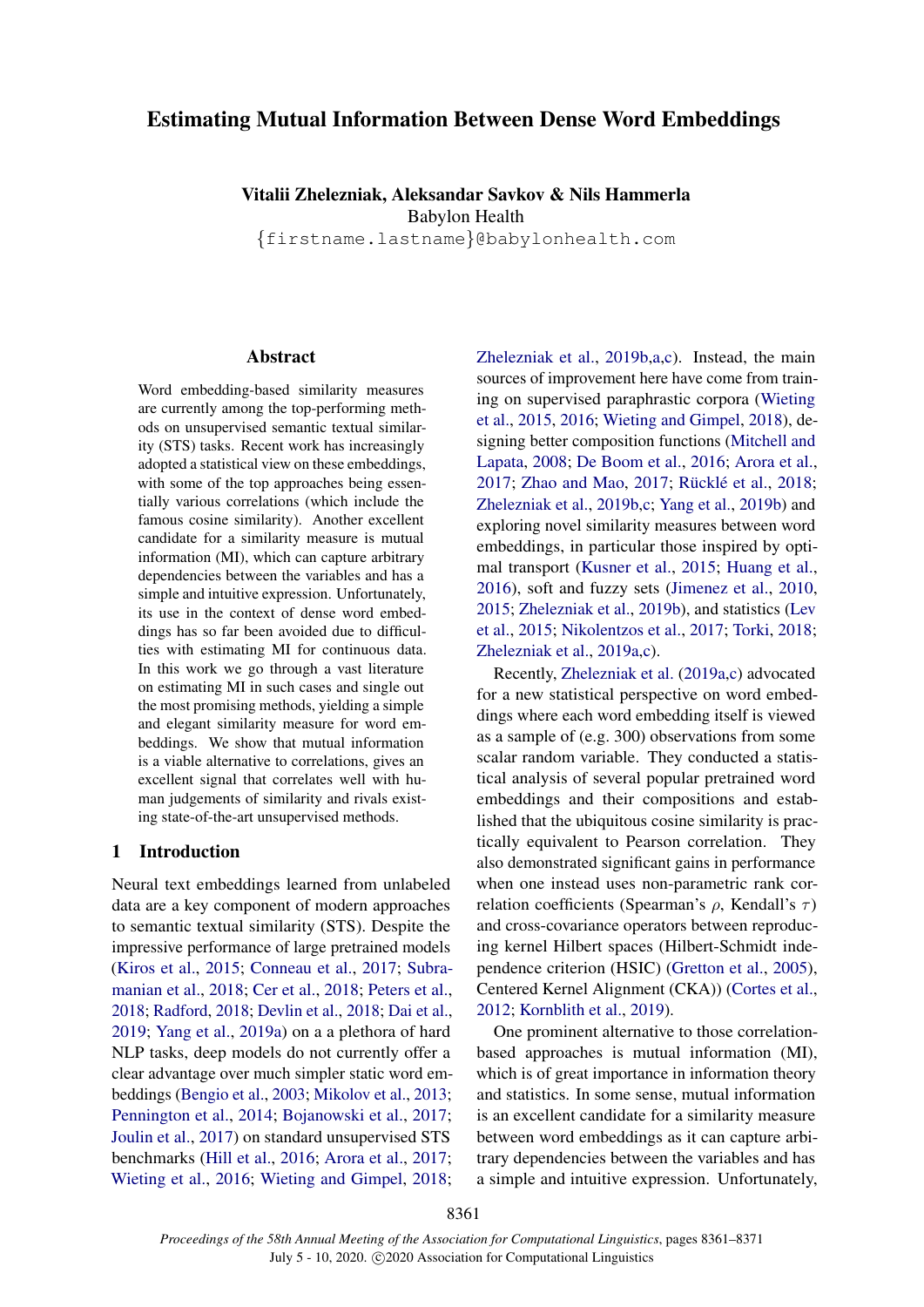# Estimating Mutual Information Between Dense Word Embeddings

Vitalii Zhelezniak, Aleksandar Savkov & Nils Hammerla Babylon Health

{firstname.lastname}@babylonhealth.com

#### Abstract

Word embedding-based similarity measures are currently among the top-performing methods on unsupervised semantic textual similarity (STS) tasks. Recent work has increasingly adopted a statistical view on these embeddings, with some of the top approaches being essentially various correlations (which include the famous cosine similarity). Another excellent candidate for a similarity measure is mutual information (MI), which can capture arbitrary dependencies between the variables and has a simple and intuitive expression. Unfortunately, its use in the context of dense word embeddings has so far been avoided due to difficulties with estimating MI for continuous data. In this work we go through a vast literature on estimating MI in such cases and single out the most promising methods, yielding a simple and elegant similarity measure for word embeddings. We show that mutual information is a viable alternative to correlations, gives an excellent signal that correlates well with human judgements of similarity and rivals existing state-of-the-art unsupervised methods.

#### 1 Introduction

Neural text embeddings learned from unlabeled data are a key component of modern approaches to semantic textual similarity (STS). Despite the impressive performance of large pretrained models [\(Kiros et al.,](#page-5-0) [2015;](#page-5-0) [Conneau et al.,](#page-4-0) [2017;](#page-4-0) [Subra](#page-6-0)[manian et al.,](#page-6-0) [2018;](#page-6-0) [Cer et al.,](#page-4-1) [2018;](#page-4-1) [Peters et al.,](#page-6-1) [2018;](#page-6-1) [Radford,](#page-6-2) [2018;](#page-6-2) [Devlin et al.,](#page-5-1) [2018;](#page-5-1) [Dai et al.,](#page-5-2) [2019;](#page-5-2) [Yang et al.,](#page-7-0) [2019a\)](#page-7-0) on a a plethora of hard NLP tasks, deep models do not currently offer a clear advantage over much simpler static word embeddings [\(Bengio et al.,](#page-4-2) [2003;](#page-4-2) [Mikolov et al.,](#page-6-3) [2013;](#page-6-3) [Pennington et al.,](#page-6-4) [2014;](#page-6-4) [Bojanowski et al.,](#page-4-3) [2017;](#page-4-3) [Joulin et al.,](#page-5-3) [2017\)](#page-5-3) on standard unsupervised STS benchmarks [\(Hill et al.,](#page-5-4) [2016;](#page-5-4) [Arora et al.,](#page-4-4) [2017;](#page-4-4) [Wieting et al.,](#page-6-5) [2016;](#page-6-5) [Wieting and Gimpel,](#page-7-1) [2018;](#page-7-1)

[Zhelezniak et al.,](#page-7-2) [2019b,](#page-7-2)[a,](#page-7-3)[c\)](#page-7-4). Instead, the main sources of improvement here have come from training on supervised paraphrastic corpora [\(Wieting](#page-6-6) [et al.,](#page-6-6) [2015,](#page-6-6) [2016;](#page-6-5) [Wieting and Gimpel,](#page-7-1) [2018\)](#page-7-1), designing better composition functions [\(Mitchell and](#page-6-7) [Lapata,](#page-6-7) [2008;](#page-6-7) [De Boom et al.,](#page-5-5) [2016;](#page-5-5) [Arora et al.,](#page-4-4) [2017;](#page-7-5) [Zhao and Mao,](#page-7-5) 2017; Rücklé et al., [2018;](#page-6-8) [Zhelezniak et al.,](#page-7-2) [2019b](#page-7-2)[,c;](#page-7-4) [Yang et al.,](#page-7-6) [2019b\)](#page-7-6) and exploring novel similarity measures between word embeddings, in particular those inspired by optimal transport [\(Kusner et al.,](#page-5-6) [2015;](#page-5-6) [Huang et al.,](#page-5-7) [2016\)](#page-5-7), soft and fuzzy sets [\(Jimenez et al.,](#page-5-8) [2010,](#page-5-8) [2015;](#page-5-9) [Zhelezniak et al.,](#page-7-2) [2019b\)](#page-7-2), and statistics [\(Lev](#page-6-9) [et al.,](#page-6-9) [2015;](#page-6-9) [Nikolentzos et al.,](#page-6-10) [2017;](#page-6-10) [Torki,](#page-6-11) [2018;](#page-6-11) [Zhelezniak et al.,](#page-7-3) [2019a,](#page-7-3)[c\)](#page-7-4).

Recently, [Zhelezniak et al.](#page-7-3) [\(2019a](#page-7-3)[,c\)](#page-7-4) advocated for a new statistical perspective on word embeddings where each word embedding itself is viewed as a sample of (e.g. 300) observations from some scalar random variable. They conducted a statistical analysis of several popular pretrained word embeddings and their compositions and established that the ubiquitous cosine similarity is practically equivalent to Pearson correlation. They also demonstrated significant gains in performance when one instead uses non-parametric rank correlation coefficients (Spearman's  $\rho$ , Kendall's  $\tau$ ) and cross-covariance operators between reproducing kernel Hilbert spaces (Hilbert-Schmidt independence criterion (HSIC) [\(Gretton et al.,](#page-5-10) [2005\)](#page-5-10), Centered Kernel Alignment (CKA)) [\(Cortes et al.,](#page-4-5) [2012;](#page-4-5) [Kornblith et al.,](#page-5-11) [2019\)](#page-5-11).

One prominent alternative to those correlationbased approaches is mutual information (MI), which is of great importance in information theory and statistics. In some sense, mutual information is an excellent candidate for a similarity measure between word embeddings as it can capture arbitrary dependencies between the variables and has a simple and intuitive expression. Unfortunately,

8361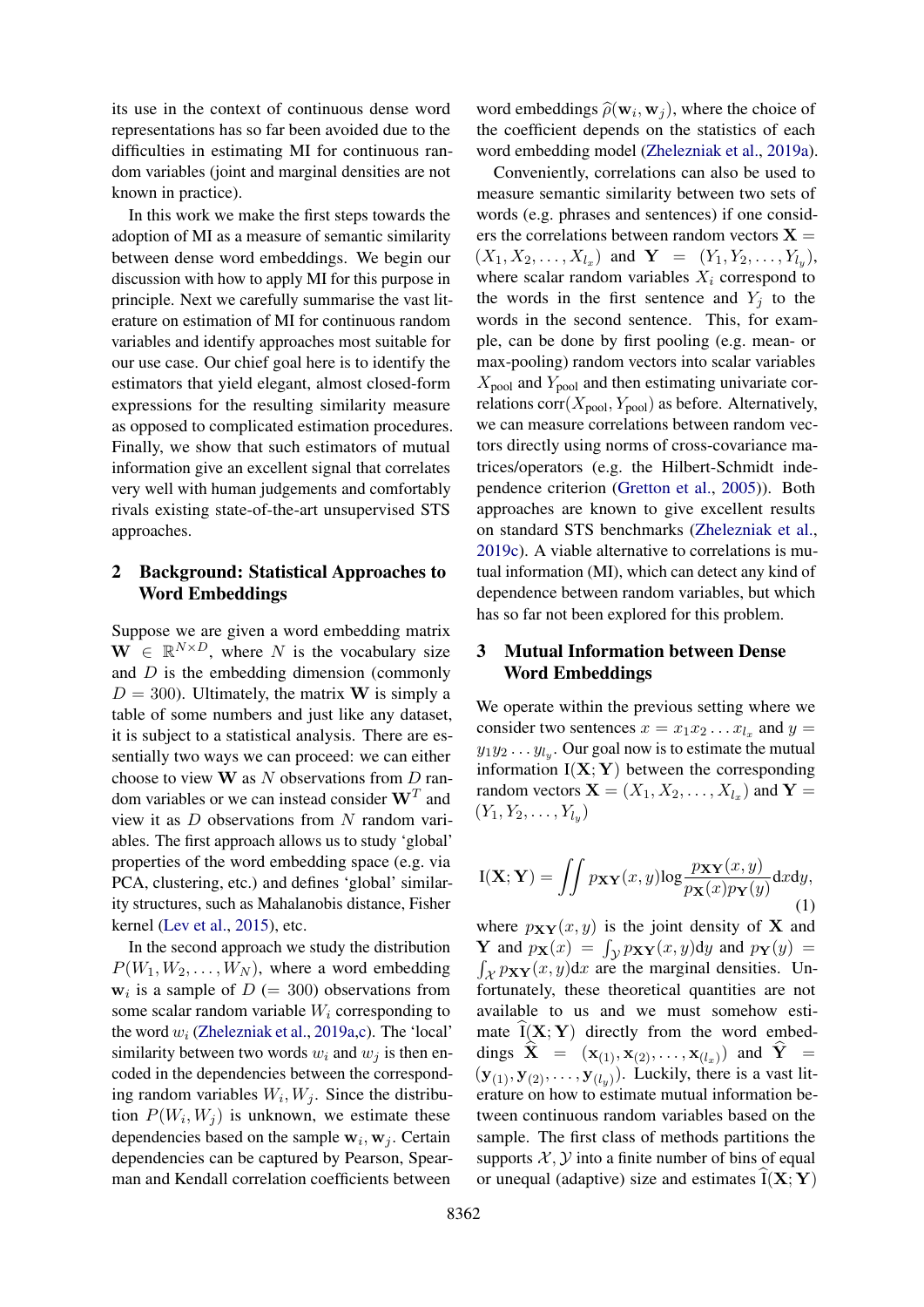its use in the context of continuous dense word representations has so far been avoided due to the difficulties in estimating MI for continuous random variables (joint and marginal densities are not known in practice).

In this work we make the first steps towards the adoption of MI as a measure of semantic similarity between dense word embeddings. We begin our discussion with how to apply MI for this purpose in principle. Next we carefully summarise the vast literature on estimation of MI for continuous random variables and identify approaches most suitable for our use case. Our chief goal here is to identify the estimators that yield elegant, almost closed-form expressions for the resulting similarity measure as opposed to complicated estimation procedures. Finally, we show that such estimators of mutual information give an excellent signal that correlates very well with human judgements and comfortably rivals existing state-of-the-art unsupervised STS approaches.

## 2 Background: Statistical Approaches to Word Embeddings

Suppose we are given a word embedding matrix  $\mathbf{W} \in \mathbb{R}^{N \times D}$ , where N is the vocabulary size and  $D$  is the embedding dimension (commonly  $D = 300$ . Ultimately, the matrix **W** is simply a table of some numbers and just like any dataset, it is subject to a statistical analysis. There are essentially two ways we can proceed: we can either choose to view  $W$  as N observations from  $D$  random variables or we can instead consider  $W<sup>T</sup>$  and view it as D observations from N random variables. The first approach allows us to study 'global' properties of the word embedding space (e.g. via PCA, clustering, etc.) and defines 'global' similarity structures, such as Mahalanobis distance, Fisher kernel [\(Lev et al.,](#page-6-9) [2015\)](#page-6-9), etc.

In the second approach we study the distribution  $P(W_1, W_2, \ldots, W_N)$ , where a word embedding  $w_i$  is a sample of  $D (= 300)$  observations from some scalar random variable  $W_i$  corresponding to the word  $w_i$  [\(Zhelezniak et al.,](#page-7-3) [2019a,](#page-7-3)[c\)](#page-7-4). The 'local' similarity between two words  $w_i$  and  $w_j$  is then encoded in the dependencies between the corresponding random variables  $W_i, W_j$ . Since the distribution  $P(W_i, W_j)$  is unknown, we estimate these dependencies based on the sample  $w_i, w_j$ . Certain dependencies can be captured by Pearson, Spearman and Kendall correlation coefficients between

word embeddings  $\hat{\rho}(\mathbf{w}_i, \mathbf{w}_j)$ , where the choice of<br>the coefficient depends on the statistics of each the coefficient depends on the statistics of each word embedding model [\(Zhelezniak et al.,](#page-7-3) [2019a\)](#page-7-3).

Conveniently, correlations can also be used to measure semantic similarity between two sets of words (e.g. phrases and sentences) if one considers the correlations between random vectors  $X =$  $(X_1, X_2, \ldots, X_{l_x})$  and  $Y = (Y_1, Y_2, \ldots, Y_{l_y}),$ where scalar random variables  $X_i$  correspond to the words in the first sentence and  $Y_i$  to the words in the second sentence. This, for example, can be done by first pooling (e.g. mean- or max-pooling) random vectors into scalar variables  $X_{\text{pool}}$  and  $Y_{\text{pool}}$  and then estimating univariate correlations  $corr(X_{pool}, Y_{pool})$  as before. Alternatively, we can measure correlations between random vectors directly using norms of cross-covariance matrices/operators (e.g. the Hilbert-Schmidt independence criterion [\(Gretton et al.,](#page-5-10) [2005\)](#page-5-10)). Both approaches are known to give excellent results on standard STS benchmarks [\(Zhelezniak et al.,](#page-7-4) [2019c\)](#page-7-4). A viable alternative to correlations is mutual information (MI), which can detect any kind of dependence between random variables, but which has so far not been explored for this problem.

### 3 Mutual Information between Dense Word Embeddings

We operate within the previous setting where we consider two sentences  $x = x_1 x_2 ... x_{l_x}$  and  $y =$  $y_1y_2 \ldots y_{l_y}$ . Our goal now is to estimate the mutual information  $I(X; Y)$  between the corresponding random vectors  $\mathbf{X} = (X_1, X_2, \dots, X_{l_x})$  and  $\mathbf{Y} =$  $(Y_1, Y_2, \ldots, Y_{l_y})$ 

<span id="page-1-0"></span>
$$
I(\mathbf{X}; \mathbf{Y}) = \iint p_{\mathbf{X}\mathbf{Y}}(x, y) \log \frac{p_{\mathbf{X}\mathbf{Y}}(x, y)}{p_{\mathbf{X}}(x) p_{\mathbf{Y}}(y)} dxdy,
$$
\n(1)

where  $p_{XY}(x, y)$  is the joint density of X and Y and  $p_X(x) = \int_{\mathcal{Y}} p_{XY}(x, y) dy$  and  $p_Y(y) =$  $\int_{\mathcal{X}} p_{\mathbf{X}\mathbf{Y}}(x, y) dx$  are the marginal densities. Unfortunately, these theoretical quantities are not available to us and we must somehow estimate  $\hat{I}(X; Y)$  directly from the word embeddings  $\mathbf{X} = (\mathbf{x}_{(1)}, \mathbf{x}_{(2)}, \dots, \mathbf{x}_{(l_x)})$  and  $\mathbf{Y} =$  $(\mathbf{y}_{(1)}, \mathbf{y}_{(2)}, \dots, \mathbf{y}_{(l_y)})$ . Luckily, there is a vast literature on how to estimate mutual information between continuous random variables based on the sample. The first class of methods partitions the supports  $X, Y$  into a finite number of bins of equal or unequal (adaptive) size and estimates  $\tilde{I}(X; Y)$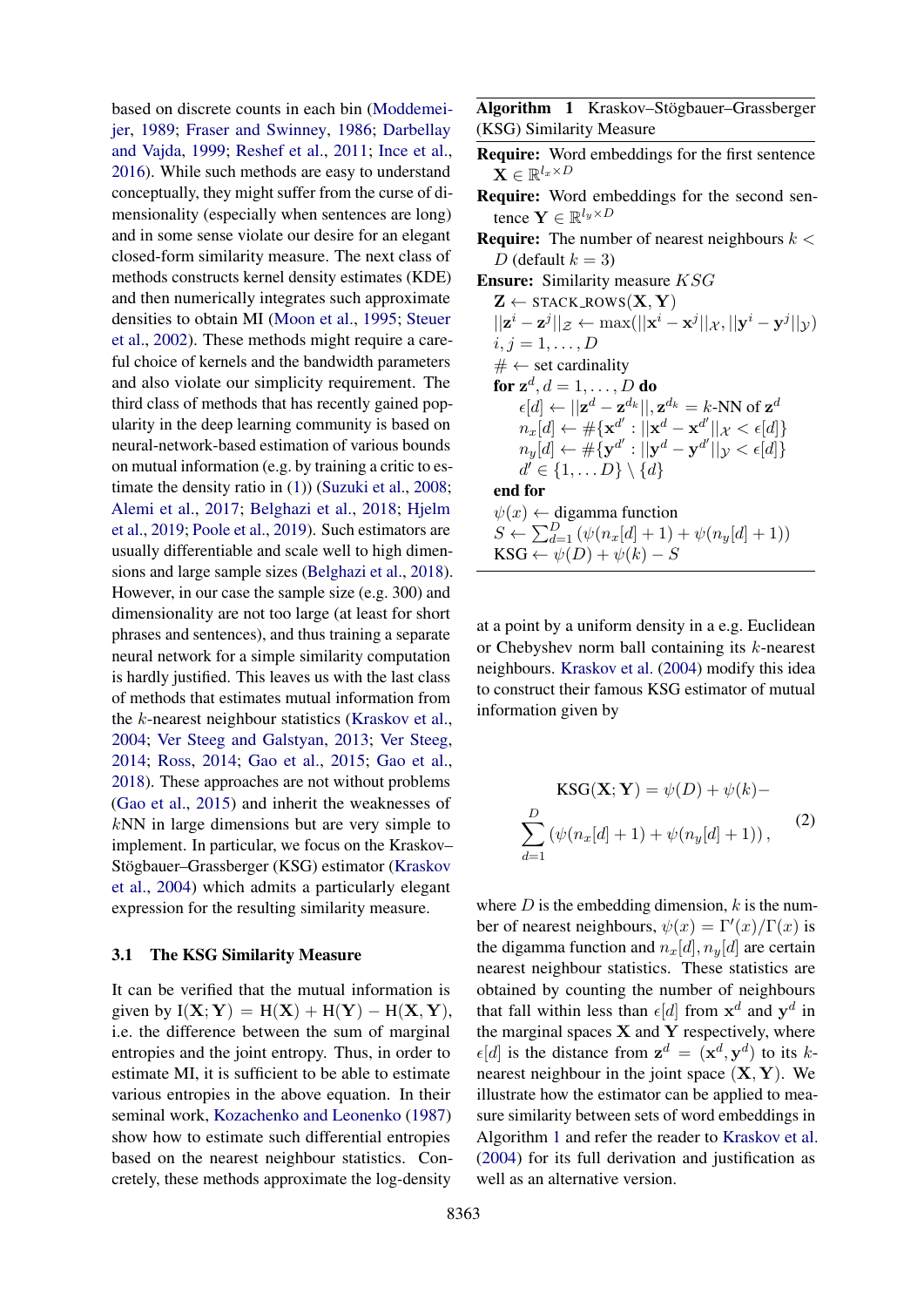based on discrete counts in each bin [\(Moddemei](#page-6-12)[jer,](#page-6-12) [1989;](#page-6-12) [Fraser and Swinney,](#page-5-12) [1986;](#page-5-12) [Darbellay](#page-5-13) [and Vajda,](#page-5-13) [1999;](#page-5-13) [Reshef et al.,](#page-6-13) [2011;](#page-6-13) [Ince et al.,](#page-5-14) [2016\)](#page-5-14). While such methods are easy to understand conceptually, they might suffer from the curse of dimensionality (especially when sentences are long) and in some sense violate our desire for an elegant closed-form similarity measure. The next class of methods constructs kernel density estimates (KDE) and then numerically integrates such approximate densities to obtain MI [\(Moon et al.,](#page-6-14) [1995;](#page-6-14) [Steuer](#page-6-15) [et al.,](#page-6-15) [2002\)](#page-6-15). These methods might require a careful choice of kernels and the bandwidth parameters and also violate our simplicity requirement. The third class of methods that has recently gained popularity in the deep learning community is based on neural-network-based estimation of various bounds on mutual information (e.g. by training a critic to estimate the density ratio in [\(1\)](#page-1-0)) [\(Suzuki et al.,](#page-6-16) [2008;](#page-6-16) [Alemi et al.,](#page-4-6) [2017;](#page-4-6) [Belghazi et al.,](#page-4-7) [2018;](#page-4-7) [Hjelm](#page-5-15) [et al.,](#page-5-15) [2019;](#page-5-15) [Poole et al.,](#page-6-17) [2019\)](#page-6-17). Such estimators are usually differentiable and scale well to high dimensions and large sample sizes [\(Belghazi et al.,](#page-4-7) [2018\)](#page-4-7). However, in our case the sample size (e.g. 300) and dimensionality are not too large (at least for short phrases and sentences), and thus training a separate neural network for a simple similarity computation is hardly justified. This leaves us with the last class of methods that estimates mutual information from the k-nearest neighbour statistics [\(Kraskov et al.,](#page-5-16) [2004;](#page-5-16) [Ver Steeg and Galstyan,](#page-6-18) [2013;](#page-6-18) [Ver Steeg,](#page-6-19) [2014;](#page-6-19) [Ross,](#page-6-20) [2014;](#page-6-20) [Gao et al.,](#page-5-17) [2015;](#page-5-17) [Gao et al.,](#page-5-18) [2018\)](#page-5-18). These approaches are not without problems [\(Gao et al.,](#page-5-17) [2015\)](#page-5-17) and inherit the weaknesses of kNN in large dimensions but are very simple to implement. In particular, we focus on the Kraskov– Stögbauer–Grassberger (KSG) estimator ([Kraskov](#page-5-16) [et al.,](#page-5-16) [2004\)](#page-5-16) which admits a particularly elegant expression for the resulting similarity measure.

#### 3.1 The KSG Similarity Measure

It can be verified that the mutual information is given by  $I(X; Y) = H(X) + H(Y) - H(X, Y)$ , i.e. the difference between the sum of marginal entropies and the joint entropy. Thus, in order to estimate MI, it is sufficient to be able to estimate various entropies in the above equation. In their seminal work, [Kozachenko and Leonenko](#page-5-19) [\(1987\)](#page-5-19) show how to estimate such differential entropies based on the nearest neighbour statistics. Concretely, these methods approximate the log-density

<span id="page-2-0"></span>Algorithm 1 Kraskov–Stögbauer–Grassberger (KSG) Similarity Measure

- Require: Word embeddings for the first sentence  $\mathbf{X} \in \mathbb{R}^{l_x \times D}$
- Require: Word embeddings for the second sentence  $\mathbf{Y} \in \mathbb{R}^{l_y \times D}$
- **Require:** The number of nearest neighbours  $k <$ D (default  $k = 3$ )
- Ensure: Similarity measure KSG
	- $Z \leftarrow$  STACK\_ROWS $(X, Y)$  $||\mathbf{z}^i - \mathbf{z}^j||_{\mathcal{Z}} \leftarrow \max(||\mathbf{x}^i - \mathbf{x}^j||_{\mathcal{X}}, ||\mathbf{y}^i - \mathbf{y}^j||_{\mathcal{Y}})$  $i, j = 1, \ldots, D$  $# \leftarrow$  set cardinality for  $\mathbf{z}^d, d = 1, \ldots, D$  do  $\epsilon[d] \leftarrow ||\mathbf{z}^d - \mathbf{z}^{d_k}||, \mathbf{z}^{d_k} = k\text{-NN of } \mathbf{z}^d$  $n_x[d] \leftarrow \#\{\mathbf{x}^{d'}: ||\mathbf{x}^d-\mathbf{x}^{d'}||_{\mathcal{X}}<\epsilon[d]\}$  $n_y[d] \leftarrow \#\{ \mathbf{y}^{d'}: ||\mathbf{y}^d-\mathbf{y}^{d'}||_\mathcal{Y} < \epsilon[d] \}$  $d' \in \{1, \ldots D\} \setminus \{d\}$ end for  $\psi(x) \leftarrow$  digamma function  $S \leftarrow \sum_{d=1}^{D} (\psi(n_x[d]+1) + \psi(n_y[d]+1))$  $\text{KSG} \leftarrow \psi(D) + \psi(k) - S$

at a point by a uniform density in a e.g. Euclidean or Chebyshev norm ball containing its k-nearest neighbours. [Kraskov et al.](#page-5-16) [\(2004\)](#page-5-16) modify this idea to construct their famous KSG estimator of mutual information given by

$$
KSG(\mathbf{X}; \mathbf{Y}) = \psi(D) + \psi(k) -
$$
  

$$
\sum_{d=1}^{D} (\psi(n_x[d]+1) + \psi(n_y[d]+1)),
$$
 (2)

where  $D$  is the embedding dimension,  $k$  is the number of nearest neighbours,  $\psi(x) = \Gamma'(x)/\Gamma(x)$  is the digamma function and  $n_x[d], n_y[d]$  are certain nearest neighbour statistics. These statistics are obtained by counting the number of neighbours that fall within less than  $\epsilon[d]$  from  $x^d$  and  $y^d$  in the marginal spaces  $X$  and  $Y$  respectively, where  $\epsilon[d]$  is the distance from  $z^d = (x^d, y^d)$  to its knearest neighbour in the joint space  $(X, Y)$ . We illustrate how the estimator can be applied to measure similarity between sets of word embeddings in Algorithm [1](#page-2-0) and refer the reader to [Kraskov et al.](#page-5-16) [\(2004\)](#page-5-16) for its full derivation and justification as well as an alternative version.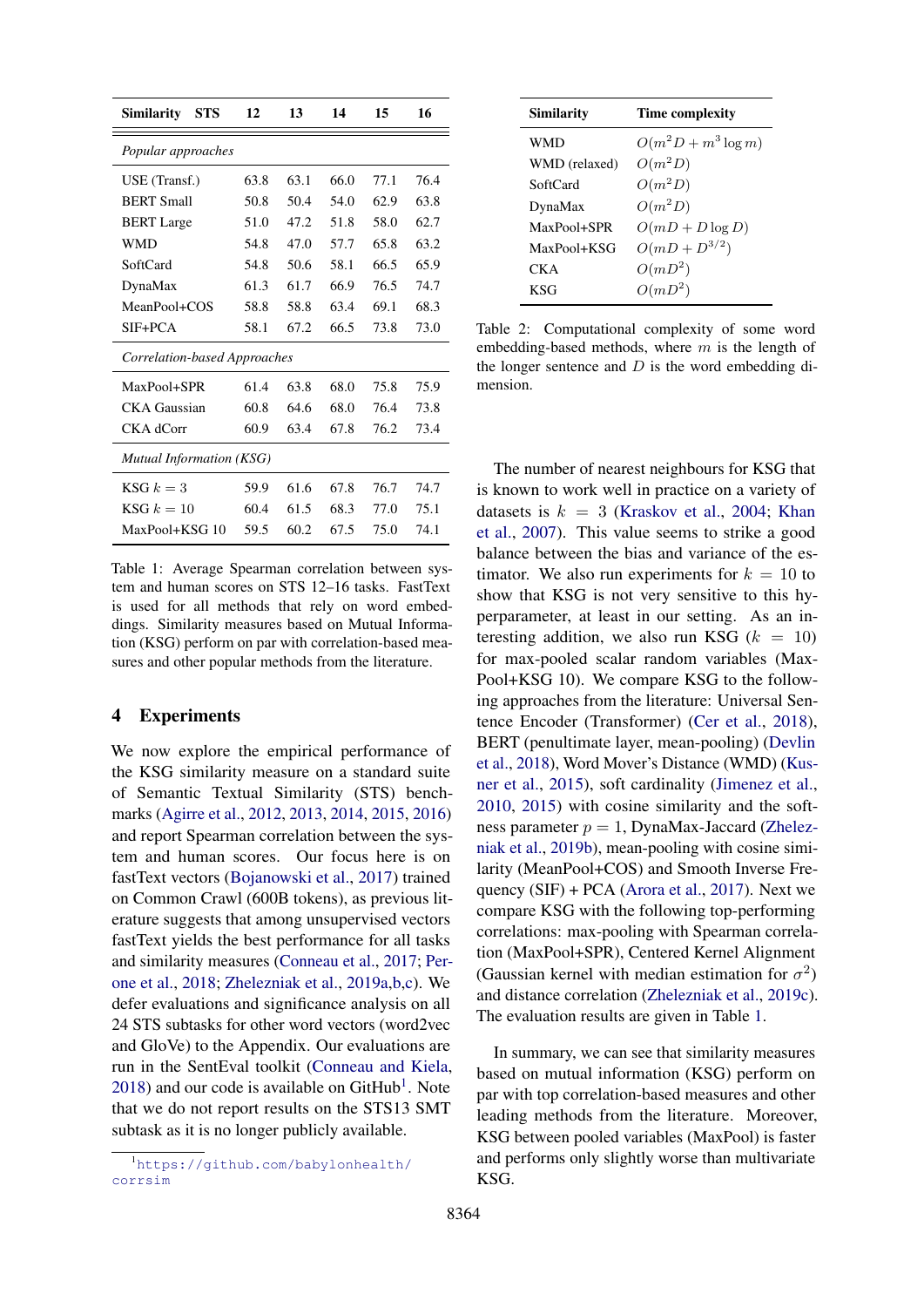<span id="page-3-1"></span>

| <b>Similarity</b><br>STS     | 12   | 13   | 14   | 15   | 16   |
|------------------------------|------|------|------|------|------|
| Popular approaches           |      |      |      |      |      |
| USE (Transf.)                | 63.8 | 63.1 | 66.0 | 77.1 | 76.4 |
| <b>BERT Small</b>            | 50.8 | 50.4 | 54.0 | 62.9 | 63.8 |
| <b>BERT</b> Large            | 51.0 | 47.2 | 51.8 | 58.0 | 62.7 |
| <b>WMD</b>                   | 54.8 | 47.0 | 57.7 | 65.8 | 63.2 |
| SoftCard                     | 54.8 | 50.6 | 58.1 | 66.5 | 65.9 |
| DynaMax                      | 61.3 | 61.7 | 66.9 | 76.5 | 74.7 |
| MeanPool+COS                 | 58.8 | 58.8 | 63.4 | 69.1 | 68.3 |
| $SIF + PCA$                  | 58.1 | 67.2 | 66.5 | 73.8 | 73.0 |
| Correlation-based Approaches |      |      |      |      |      |
| MaxPool+SPR                  | 61.4 | 63.8 | 68.0 | 75.8 | 75.9 |
| CKA Gaussian                 | 60.8 | 64.6 | 68.0 | 76.4 | 73.8 |
| CKA dCorr                    | 60.9 | 63.4 | 67.8 | 76.2 | 73.4 |
| Mutual Information (KSG)     |      |      |      |      |      |
| KSG $k=3$                    | 59.9 | 61.6 | 67.8 | 76.7 | 74.7 |
| KSG $k=10$                   | 60.4 | 61.5 | 68.3 | 77.0 | 75.1 |
| MaxPool+KSG 10               | 59.5 | 60.2 | 67.5 | 75.0 | 74.1 |

Table 1: Average Spearman correlation between system and human scores on STS 12–16 tasks. FastText is used for all methods that rely on word embeddings. Similarity measures based on Mutual Information (KSG) perform on par with correlation-based measures and other popular methods from the literature.

### 4 Experiments

We now explore the empirical performance of the KSG similarity measure on a standard suite of Semantic Textual Similarity (STS) benchmarks [\(Agirre et al.,](#page-4-8) [2012,](#page-4-8) [2013,](#page-4-9) [2014,](#page-4-10) [2015,](#page-4-11) [2016\)](#page-4-12) and report Spearman correlation between the system and human scores. Our focus here is on fastText vectors [\(Bojanowski et al.,](#page-4-3) [2017\)](#page-4-3) trained on Common Crawl (600B tokens), as previous literature suggests that among unsupervised vectors fastText yields the best performance for all tasks and similarity measures [\(Conneau et al.,](#page-4-0) [2017;](#page-4-0) [Per](#page-6-21)[one et al.,](#page-6-21) [2018;](#page-6-21) [Zhelezniak et al.,](#page-7-3) [2019a](#page-7-3)[,b](#page-7-2)[,c\)](#page-7-4). We defer evaluations and significance analysis on all 24 STS subtasks for other word vectors (word2vec and GloVe) to the Appendix. Our evaluations are run in the SentEval toolkit [\(Conneau and Kiela,](#page-4-13)  $2018$  $2018$  $2018$ ) and our code is available on GitHub<sup>1</sup>. Note that we do not report results on the STS13 SMT subtask as it is no longer publicly available.

| Similarity    | Time complexity        |
|---------------|------------------------|
| <b>WMD</b>    | $O(m^2D + m^3 \log m)$ |
| WMD (relaxed) | $O(m^2D)$              |
| SoftCard      | $O(m^2D)$              |
| DynaMax       | $O(m^2D)$              |
| MaxPool+SPR   | $O(mD + D \log D)$     |
| MaxPool+KSG   | $O(mD + D^{3/2})$      |
| CK A          | $O(mD^2)$              |
| KSG           | $O(mD^2)$              |

Table 2: Computational complexity of some word embedding-based methods, where  $m$  is the length of the longer sentence and  $D$  is the word embedding dimension.

The number of nearest neighbours for KSG that is known to work well in practice on a variety of datasets is  $k = 3$  [\(Kraskov et al.,](#page-5-16) [2004;](#page-5-16) [Khan](#page-5-20) [et al.,](#page-5-20) [2007\)](#page-5-20). This value seems to strike a good balance between the bias and variance of the estimator. We also run experiments for  $k = 10$  to show that KSG is not very sensitive to this hyperparameter, at least in our setting. As an interesting addition, we also run KSG  $(k = 10)$ for max-pooled scalar random variables (Max-Pool+KSG 10). We compare KSG to the following approaches from the literature: Universal Sentence Encoder (Transformer) [\(Cer et al.,](#page-4-1) [2018\)](#page-4-1), BERT (penultimate layer, mean-pooling) [\(Devlin](#page-5-1) [et al.,](#page-5-1) [2018\)](#page-5-1), Word Mover's Distance (WMD) [\(Kus](#page-5-6)[ner et al.,](#page-5-6) [2015\)](#page-5-6), soft cardinality [\(Jimenez et al.,](#page-5-8) [2010,](#page-5-8) [2015\)](#page-5-9) with cosine similarity and the softness parameter  $p = 1$ , DynaMax-Jaccard [\(Zhelez](#page-7-2)[niak et al.,](#page-7-2) [2019b\)](#page-7-2), mean-pooling with cosine similarity (MeanPool+COS) and Smooth Inverse Frequency (SIF) + PCA [\(Arora et al.,](#page-4-4) [2017\)](#page-4-4). Next we compare KSG with the following top-performing correlations: max-pooling with Spearman correlation (MaxPool+SPR), Centered Kernel Alignment (Gaussian kernel with median estimation for  $\sigma^2$ ) and distance correlation [\(Zhelezniak et al.,](#page-7-4) [2019c\)](#page-7-4). The evaluation results are given in Table [1.](#page-3-1)

In summary, we can see that similarity measures based on mutual information (KSG) perform on par with top correlation-based measures and other leading methods from the literature. Moreover, KSG between pooled variables (MaxPool) is faster and performs only slightly worse than multivariate KSG.

<span id="page-3-0"></span><sup>1</sup>[https://github.com/babylonhealth/](https://github.com/babylonhealth/corrsim) [corrsim](https://github.com/babylonhealth/corrsim)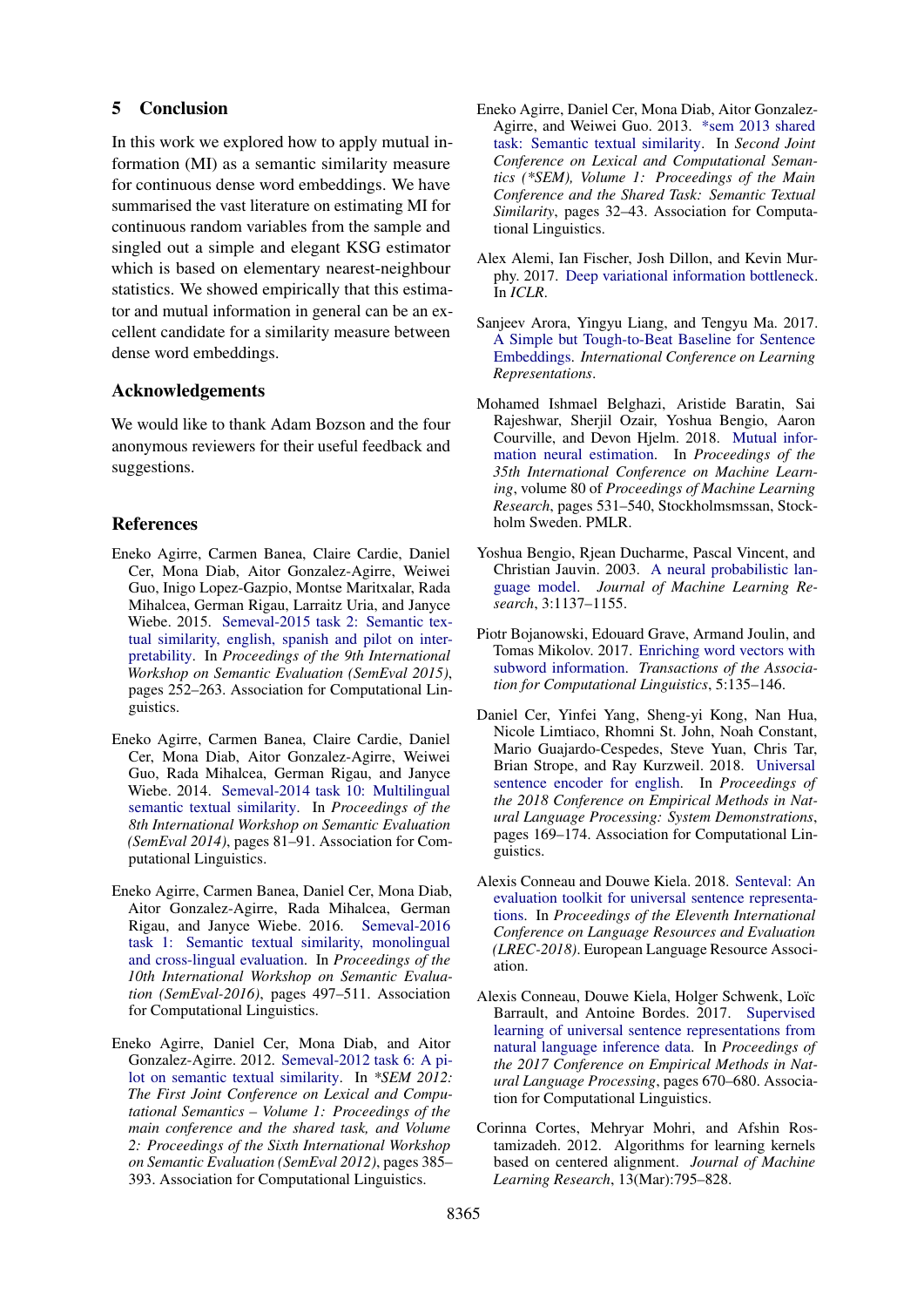#### 5 Conclusion

In this work we explored how to apply mutual information (MI) as a semantic similarity measure for continuous dense word embeddings. We have summarised the vast literature on estimating MI for continuous random variables from the sample and singled out a simple and elegant KSG estimator which is based on elementary nearest-neighbour statistics. We showed empirically that this estimator and mutual information in general can be an excellent candidate for a similarity measure between dense word embeddings.

#### Acknowledgements

We would like to thank Adam Bozson and the four anonymous reviewers for their useful feedback and suggestions.

### References

- <span id="page-4-11"></span>Eneko Agirre, Carmen Banea, Claire Cardie, Daniel Cer, Mona Diab, Aitor Gonzalez-Agirre, Weiwei Guo, Inigo Lopez-Gazpio, Montse Maritxalar, Rada Mihalcea, German Rigau, Larraitz Uria, and Janyce Wiebe. 2015. [Semeval-2015 task 2: Semantic tex](https://doi.org/10.18653/v1/S15-2045)[tual similarity, english, spanish and pilot on inter](https://doi.org/10.18653/v1/S15-2045)[pretability.](https://doi.org/10.18653/v1/S15-2045) In *Proceedings of the 9th International Workshop on Semantic Evaluation (SemEval 2015)*, pages 252–263. Association for Computational Linguistics.
- <span id="page-4-10"></span>Eneko Agirre, Carmen Banea, Claire Cardie, Daniel Cer, Mona Diab, Aitor Gonzalez-Agirre, Weiwei Guo, Rada Mihalcea, German Rigau, and Janyce Wiebe. 2014. [Semeval-2014 task 10: Multilingual](https://doi.org/10.3115/v1/S14-2010) [semantic textual similarity.](https://doi.org/10.3115/v1/S14-2010) In *Proceedings of the 8th International Workshop on Semantic Evaluation (SemEval 2014)*, pages 81–91. Association for Computational Linguistics.
- <span id="page-4-12"></span>Eneko Agirre, Carmen Banea, Daniel Cer, Mona Diab, Aitor Gonzalez-Agirre, Rada Mihalcea, German Rigau, and Janyce Wiebe. 2016. [Semeval-2016](https://doi.org/10.18653/v1/S16-1081) [task 1: Semantic textual similarity, monolingual](https://doi.org/10.18653/v1/S16-1081) [and cross-lingual evaluation.](https://doi.org/10.18653/v1/S16-1081) In *Proceedings of the 10th International Workshop on Semantic Evaluation (SemEval-2016)*, pages 497–511. Association for Computational Linguistics.
- <span id="page-4-8"></span>Eneko Agirre, Daniel Cer, Mona Diab, and Aitor Gonzalez-Agirre. 2012. [Semeval-2012 task 6: A pi](http://aclweb.org/anthology/S12-1051)[lot on semantic textual similarity.](http://aclweb.org/anthology/S12-1051) In *\*SEM 2012: The First Joint Conference on Lexical and Computational Semantics – Volume 1: Proceedings of the main conference and the shared task, and Volume 2: Proceedings of the Sixth International Workshop on Semantic Evaluation (SemEval 2012)*, pages 385– 393. Association for Computational Linguistics.
- <span id="page-4-9"></span>Eneko Agirre, Daniel Cer, Mona Diab, Aitor Gonzalez-Agirre, and Weiwei Guo. 2013. [\\*sem 2013 shared](http://aclweb.org/anthology/S13-1004) [task: Semantic textual similarity.](http://aclweb.org/anthology/S13-1004) In *Second Joint Conference on Lexical and Computational Semantics (\*SEM), Volume 1: Proceedings of the Main Conference and the Shared Task: Semantic Textual Similarity*, pages 32–43. Association for Computational Linguistics.
- <span id="page-4-6"></span>Alex Alemi, Ian Fischer, Josh Dillon, and Kevin Murphy. 2017. [Deep variational information bottleneck.](https://arxiv.org/abs/1612.00410) In *ICLR*.
- <span id="page-4-4"></span>Sanjeev Arora, Yingyu Liang, and Tengyu Ma. 2017. [A Simple but Tough-to-Beat Baseline for Sentence](https://openreview.net/pdf?id=SyK00v5xx) [Embeddings.](https://openreview.net/pdf?id=SyK00v5xx) *International Conference on Learning Representations*.
- <span id="page-4-7"></span>Mohamed Ishmael Belghazi, Aristide Baratin, Sai Rajeshwar, Sherjil Ozair, Yoshua Bengio, Aaron Courville, and Devon Hjelm. 2018. [Mutual infor](http://proceedings.mlr.press/v80/belghazi18a.html)[mation neural estimation.](http://proceedings.mlr.press/v80/belghazi18a.html) In *Proceedings of the 35th International Conference on Machine Learning*, volume 80 of *Proceedings of Machine Learning Research*, pages 531–540, Stockholmsmssan, Stockholm Sweden. PMLR.
- <span id="page-4-2"></span>Yoshua Bengio, Rjean Ducharme, Pascal Vincent, and Christian Jauvin. 2003. [A neural probabilistic lan](http://www.jmlr.org/papers/v3/bengio03a.html)[guage model.](http://www.jmlr.org/papers/v3/bengio03a.html) *Journal of Machine Learning Research*, 3:1137–1155.
- <span id="page-4-3"></span>Piotr Bojanowski, Edouard Grave, Armand Joulin, and Tomas Mikolov. 2017. [Enriching word vectors with](http://aclweb.org/anthology/Q17-1010) [subword information.](http://aclweb.org/anthology/Q17-1010) *Transactions of the Association for Computational Linguistics*, 5:135–146.
- <span id="page-4-1"></span>Daniel Cer, Yinfei Yang, Sheng-yi Kong, Nan Hua, Nicole Limtiaco, Rhomni St. John, Noah Constant, Mario Guajardo-Cespedes, Steve Yuan, Chris Tar, Brian Strope, and Ray Kurzweil. 2018. [Universal](http://aclweb.org/anthology/D18-2029) [sentence encoder for english.](http://aclweb.org/anthology/D18-2029) In *Proceedings of the 2018 Conference on Empirical Methods in Natural Language Processing: System Demonstrations*, pages 169–174. Association for Computational Linguistics.
- <span id="page-4-13"></span>Alexis Conneau and Douwe Kiela. 2018. [Senteval: An](http://aclweb.org/anthology/L18-1269) [evaluation toolkit for universal sentence representa](http://aclweb.org/anthology/L18-1269)[tions.](http://aclweb.org/anthology/L18-1269) In *Proceedings of the Eleventh International Conference on Language Resources and Evaluation (LREC-2018)*. European Language Resource Association.
- <span id="page-4-0"></span>Alexis Conneau, Douwe Kiela, Holger Schwenk, Loïc Barrault, and Antoine Bordes. 2017. [Supervised](https://doi.org/10.18653/v1/D17-1070) [learning of universal sentence representations from](https://doi.org/10.18653/v1/D17-1070) [natural language inference data.](https://doi.org/10.18653/v1/D17-1070) In *Proceedings of the 2017 Conference on Empirical Methods in Natural Language Processing*, pages 670–680. Association for Computational Linguistics.
- <span id="page-4-5"></span>Corinna Cortes, Mehryar Mohri, and Afshin Rostamizadeh. 2012. Algorithms for learning kernels based on centered alignment. *Journal of Machine Learning Research*, 13(Mar):795–828.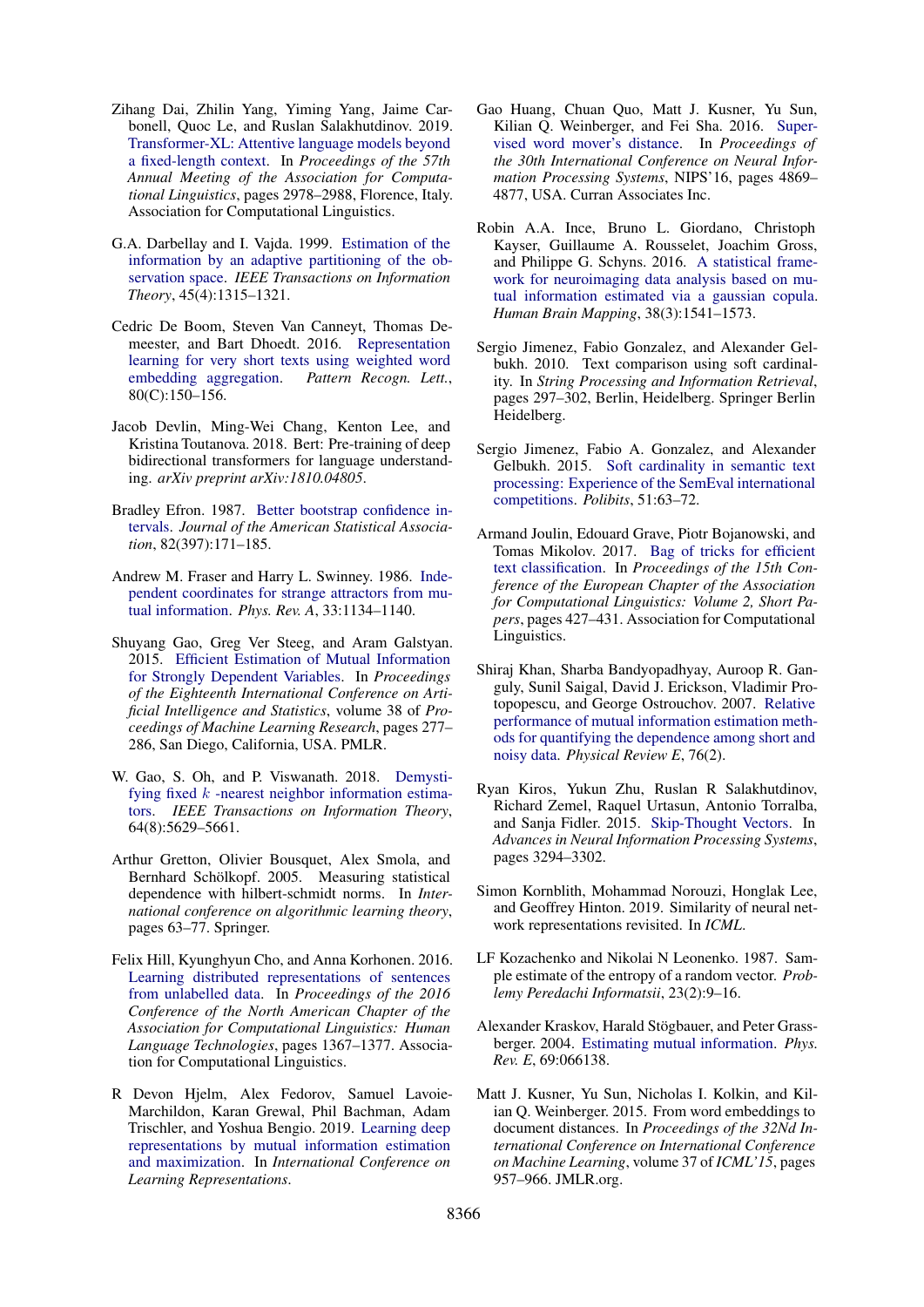- <span id="page-5-2"></span>Zihang Dai, Zhilin Yang, Yiming Yang, Jaime Carbonell, Quoc Le, and Ruslan Salakhutdinov. 2019. [Transformer-XL: Attentive language models beyond](https://doi.org/10.18653/v1/P19-1285) [a fixed-length context.](https://doi.org/10.18653/v1/P19-1285) In *Proceedings of the 57th Annual Meeting of the Association for Computational Linguistics*, pages 2978–2988, Florence, Italy. Association for Computational Linguistics.
- <span id="page-5-13"></span>G.A. Darbellay and I. Vajda. 1999. [Estimation of the](https://doi.org/10.1109/18.761290) [information by an adaptive partitioning of the ob](https://doi.org/10.1109/18.761290)[servation space.](https://doi.org/10.1109/18.761290) *IEEE Transactions on Information Theory*, 45(4):1315–1321.
- <span id="page-5-5"></span>Cedric De Boom, Steven Van Canneyt, Thomas Demeester, and Bart Dhoedt. 2016. [Representation](https://doi.org/10.1016/j.patrec.2016.06.012) [learning for very short texts using weighted word](https://doi.org/10.1016/j.patrec.2016.06.012) [embedding aggregation.](https://doi.org/10.1016/j.patrec.2016.06.012) *Pattern Recogn. Lett.*, 80(C):150–156.
- <span id="page-5-1"></span>Jacob Devlin, Ming-Wei Chang, Kenton Lee, and Kristina Toutanova. 2018. Bert: Pre-training of deep bidirectional transformers for language understanding. *arXiv preprint arXiv:1810.04805*.
- <span id="page-5-21"></span>Bradley Efron. 1987. [Better bootstrap confidence in](https://doi.org/10.1080/01621459.1987.10478410)[tervals.](https://doi.org/10.1080/01621459.1987.10478410) *Journal of the American Statistical Association*, 82(397):171–185.
- <span id="page-5-12"></span>Andrew M. Fraser and Harry L. Swinney. 1986. [Inde](https://doi.org/10.1103/PhysRevA.33.1134)[pendent coordinates for strange attractors from mu](https://doi.org/10.1103/PhysRevA.33.1134)[tual information.](https://doi.org/10.1103/PhysRevA.33.1134) *Phys. Rev. A*, 33:1134–1140.
- <span id="page-5-17"></span>Shuyang Gao, Greg Ver Steeg, and Aram Galstyan. 2015. [Efficient Estimation of Mutual Information](http://proceedings.mlr.press/v38/gao15.html) [for Strongly Dependent Variables.](http://proceedings.mlr.press/v38/gao15.html) In *Proceedings of the Eighteenth International Conference on Artificial Intelligence and Statistics*, volume 38 of *Proceedings of Machine Learning Research*, pages 277– 286, San Diego, California, USA. PMLR.
- <span id="page-5-18"></span>W. Gao, S. Oh, and P. Viswanath. 2018. [Demysti](https://doi.org/10.1109/TIT.2018.2807481)fying fixed  $k$  [-nearest neighbor information estima](https://doi.org/10.1109/TIT.2018.2807481)[tors.](https://doi.org/10.1109/TIT.2018.2807481) *IEEE Transactions on Information Theory*, 64(8):5629–5661.
- <span id="page-5-10"></span>Arthur Gretton, Olivier Bousquet, Alex Smola, and Bernhard Schölkopf. 2005. Measuring statistical dependence with hilbert-schmidt norms. In *International conference on algorithmic learning theory*, pages 63–77. Springer.
- <span id="page-5-4"></span>Felix Hill, Kyunghyun Cho, and Anna Korhonen. 2016. [Learning distributed representations of sentences](https://doi.org/10.18653/v1/N16-1162) [from unlabelled data.](https://doi.org/10.18653/v1/N16-1162) In *Proceedings of the 2016 Conference of the North American Chapter of the Association for Computational Linguistics: Human Language Technologies*, pages 1367–1377. Association for Computational Linguistics.
- <span id="page-5-15"></span>R Devon Hjelm, Alex Fedorov, Samuel Lavoie-Marchildon, Karan Grewal, Phil Bachman, Adam Trischler, and Yoshua Bengio. 2019. [Learning deep](https://openreview.net/forum?id=Bklr3j0cKX) [representations by mutual information estimation](https://openreview.net/forum?id=Bklr3j0cKX) [and maximization.](https://openreview.net/forum?id=Bklr3j0cKX) In *International Conference on Learning Representations*.
- <span id="page-5-7"></span>Gao Huang, Chuan Quo, Matt J. Kusner, Yu Sun, Kilian Q. Weinberger, and Fei Sha. 2016. [Super](http://dl.acm.org/citation.cfm?id=3157382.3157641)[vised word mover's distance.](http://dl.acm.org/citation.cfm?id=3157382.3157641) In *Proceedings of the 30th International Conference on Neural Information Processing Systems*, NIPS'16, pages 4869– 4877, USA. Curran Associates Inc.
- <span id="page-5-14"></span>Robin A.A. Ince, Bruno L. Giordano, Christoph Kayser, Guillaume A. Rousselet, Joachim Gross, and Philippe G. Schyns. 2016. [A statistical frame](https://doi.org/10.1002/hbm.23471)[work for neuroimaging data analysis based on mu](https://doi.org/10.1002/hbm.23471)[tual information estimated via a gaussian copula.](https://doi.org/10.1002/hbm.23471) *Human Brain Mapping*, 38(3):1541–1573.
- <span id="page-5-8"></span>Sergio Jimenez, Fabio Gonzalez, and Alexander Gelbukh. 2010. Text comparison using soft cardinality. In *String Processing and Information Retrieval*, pages 297–302, Berlin, Heidelberg. Springer Berlin Heidelberg.
- <span id="page-5-9"></span>Sergio Jimenez, Fabio A. Gonzalez, and Alexander Gelbukh. 2015. [Soft cardinality in semantic text](https://doi.org/10.17562/pb-51-9) [processing: Experience of the SemEval international](https://doi.org/10.17562/pb-51-9) [competitions.](https://doi.org/10.17562/pb-51-9) *Polibits*, 51:63–72.
- <span id="page-5-3"></span>Armand Joulin, Edouard Grave, Piotr Bojanowski, and Tomas Mikolov. 2017. [Bag of tricks for efficient](http://aclweb.org/anthology/E17-2068) [text classification.](http://aclweb.org/anthology/E17-2068) In *Proceedings of the 15th Conference of the European Chapter of the Association for Computational Linguistics: Volume 2, Short Papers*, pages 427–431. Association for Computational Linguistics.
- <span id="page-5-20"></span>Shiraj Khan, Sharba Bandyopadhyay, Auroop R. Ganguly, Sunil Saigal, David J. Erickson, Vladimir Protopopescu, and George Ostrouchov. 2007. [Relative](https://doi.org/10.1103/physreve.76.026209) [performance of mutual information estimation meth](https://doi.org/10.1103/physreve.76.026209)[ods for quantifying the dependence among short and](https://doi.org/10.1103/physreve.76.026209) [noisy data.](https://doi.org/10.1103/physreve.76.026209) *Physical Review E*, 76(2).
- <span id="page-5-0"></span>Ryan Kiros, Yukun Zhu, Ruslan R Salakhutdinov, Richard Zemel, Raquel Urtasun, Antonio Torralba, and Sanja Fidler. 2015. [Skip-Thought Vectors.](https://papers.nips.cc/paper/5950-skip-thought-vectors.pdf) In *Advances in Neural Information Processing Systems*, pages 3294–3302.
- <span id="page-5-11"></span>Simon Kornblith, Mohammad Norouzi, Honglak Lee, and Geoffrey Hinton. 2019. Similarity of neural network representations revisited. In *ICML*.
- <span id="page-5-19"></span>LF Kozachenko and Nikolai N Leonenko. 1987. Sample estimate of the entropy of a random vector. *Problemy Peredachi Informatsii*, 23(2):9–16.
- <span id="page-5-16"></span>Alexander Kraskov, Harald Stögbauer, and Peter Grassberger. 2004. [Estimating mutual information.](https://doi.org/10.1103/PhysRevE.69.066138) *Phys. Rev. E*, 69:066138.
- <span id="page-5-6"></span>Matt J. Kusner, Yu Sun, Nicholas I. Kolkin, and Kilian Q. Weinberger. 2015. From word embeddings to document distances. In *Proceedings of the 32Nd International Conference on International Conference on Machine Learning*, volume 37 of *ICML'15*, pages 957–966. JMLR.org.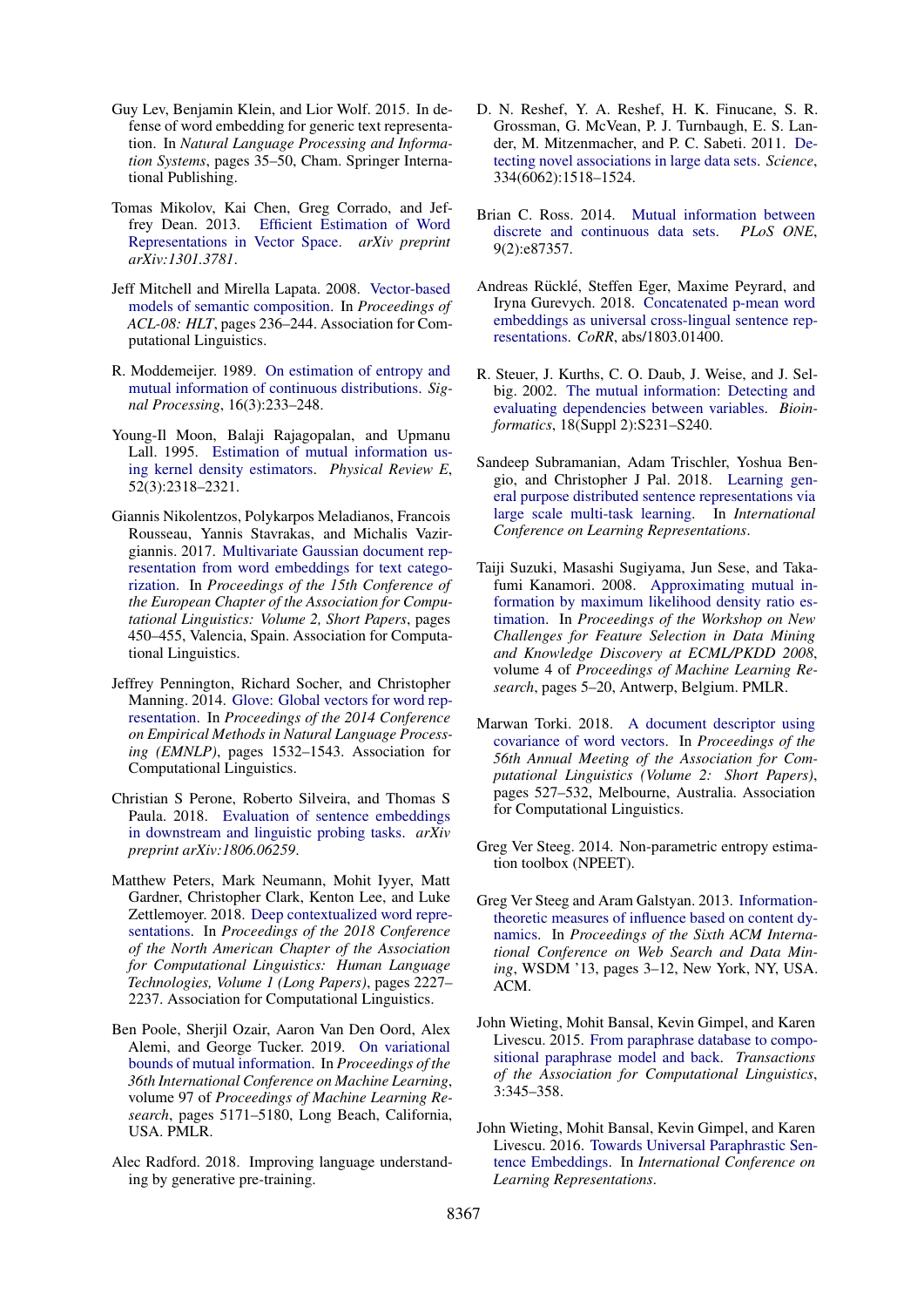- <span id="page-6-9"></span>Guy Lev, Benjamin Klein, and Lior Wolf. 2015. In defense of word embedding for generic text representation. In *Natural Language Processing and Information Systems*, pages 35–50, Cham. Springer International Publishing.
- <span id="page-6-3"></span>Tomas Mikolov, Kai Chen, Greg Corrado, and Jeffrey Dean. 2013. [Efficient Estimation of Word](http://arxiv.org/abs/1301.3781) [Representations in Vector Space.](http://arxiv.org/abs/1301.3781) *arXiv preprint arXiv:1301.3781*.
- <span id="page-6-7"></span>Jeff Mitchell and Mirella Lapata. 2008. [Vector-based](http://aclweb.org/anthology/P08-1028) [models of semantic composition.](http://aclweb.org/anthology/P08-1028) In *Proceedings of ACL-08: HLT*, pages 236–244. Association for Computational Linguistics.
- <span id="page-6-12"></span>R. Moddemeijer. 1989. [On estimation of entropy and](https://doi.org/10.1016/0165-1684(89)90132-1) [mutual information of continuous distributions.](https://doi.org/10.1016/0165-1684(89)90132-1) *Signal Processing*, 16(3):233–248.
- <span id="page-6-14"></span>Young-Il Moon, Balaji Rajagopalan, and Upmanu Lall. 1995. [Estimation of mutual information us](https://doi.org/10.1103/physreve.52.2318)[ing kernel density estimators.](https://doi.org/10.1103/physreve.52.2318) *Physical Review E*, 52(3):2318–2321.
- <span id="page-6-10"></span>Giannis Nikolentzos, Polykarpos Meladianos, Francois Rousseau, Yannis Stavrakas, and Michalis Vazirgiannis. 2017. [Multivariate Gaussian document rep](https://www.aclweb.org/anthology/E17-2072)[resentation from word embeddings for text catego](https://www.aclweb.org/anthology/E17-2072)[rization.](https://www.aclweb.org/anthology/E17-2072) In *Proceedings of the 15th Conference of the European Chapter of the Association for Computational Linguistics: Volume 2, Short Papers*, pages 450–455, Valencia, Spain. Association for Computational Linguistics.
- <span id="page-6-4"></span>Jeffrey Pennington, Richard Socher, and Christopher Manning. 2014. [Glove: Global vectors for word rep](https://doi.org/10.3115/v1/D14-1162)[resentation.](https://doi.org/10.3115/v1/D14-1162) In *Proceedings of the 2014 Conference on Empirical Methods in Natural Language Processing (EMNLP)*, pages 1532–1543. Association for Computational Linguistics.
- <span id="page-6-21"></span>Christian S Perone, Roberto Silveira, and Thomas S Paula. 2018. [Evaluation of sentence embeddings](https://arxiv.org/pdf/1806.06259.pdf) [in downstream and linguistic probing tasks.](https://arxiv.org/pdf/1806.06259.pdf) *arXiv preprint arXiv:1806.06259*.
- <span id="page-6-1"></span>Matthew Peters, Mark Neumann, Mohit Iyyer, Matt Gardner, Christopher Clark, Kenton Lee, and Luke Zettlemoyer. 2018. [Deep contextualized word repre](https://doi.org/10.18653/v1/N18-1202)[sentations.](https://doi.org/10.18653/v1/N18-1202) In *Proceedings of the 2018 Conference of the North American Chapter of the Association for Computational Linguistics: Human Language Technologies, Volume 1 (Long Papers)*, pages 2227– 2237. Association for Computational Linguistics.
- <span id="page-6-17"></span>Ben Poole, Sherjil Ozair, Aaron Van Den Oord, Alex Alemi, and George Tucker. 2019. [On variational](http://proceedings.mlr.press/v97/poole19a.html) [bounds of mutual information.](http://proceedings.mlr.press/v97/poole19a.html) In *Proceedings of the 36th International Conference on Machine Learning*, volume 97 of *Proceedings of Machine Learning Research*, pages 5171–5180, Long Beach, California, USA. PMLR.
- <span id="page-6-2"></span>Alec Radford. 2018. Improving language understanding by generative pre-training.
- <span id="page-6-13"></span>D. N. Reshef, Y. A. Reshef, H. K. Finucane, S. R. Grossman, G. McVean, P. J. Turnbaugh, E. S. Lander, M. Mitzenmacher, and P. C. Sabeti. 2011. [De](https://doi.org/10.1126/science.1205438)[tecting novel associations in large data sets.](https://doi.org/10.1126/science.1205438) *Science*, 334(6062):1518–1524.
- <span id="page-6-20"></span>Brian C. Ross. 2014. [Mutual information between](https://doi.org/10.1371/journal.pone.0087357)<br>discrete and continuous data sets. *PLoS ONE*. [discrete and continuous data sets.](https://doi.org/10.1371/journal.pone.0087357) 9(2):e87357.
- <span id="page-6-8"></span>Andreas Rücklé, Steffen Eger, Maxime Peyrard, and Iryna Gurevych. 2018. [Concatenated p-mean word](http://arxiv.org/abs/1803.01400) [embeddings as universal cross-lingual sentence rep](http://arxiv.org/abs/1803.01400)[resentations.](http://arxiv.org/abs/1803.01400) *CoRR*, abs/1803.01400.
- <span id="page-6-15"></span>R. Steuer, J. Kurths, C. O. Daub, J. Weise, and J. Selbig. 2002. [The mutual information: Detecting and](https://doi.org/10.1093/bioinformatics/18.suppl_2.s231) [evaluating dependencies between variables.](https://doi.org/10.1093/bioinformatics/18.suppl_2.s231) *Bioinformatics*, 18(Suppl 2):S231–S240.
- <span id="page-6-0"></span>Sandeep Subramanian, Adam Trischler, Yoshua Bengio, and Christopher J Pal. 2018. [Learning gen](https://openreview.net/forum?id=B18WgG-CZ)[eral purpose distributed sentence representations via](https://openreview.net/forum?id=B18WgG-CZ) [large scale multi-task learning.](https://openreview.net/forum?id=B18WgG-CZ) In *International Conference on Learning Representations*.
- <span id="page-6-16"></span>Taiji Suzuki, Masashi Sugiyama, Jun Sese, and Takafumi Kanamori. 2008. [Approximating mutual in](http://proceedings.mlr.press/v4/suzuki08a.html)[formation by maximum likelihood density ratio es](http://proceedings.mlr.press/v4/suzuki08a.html)[timation.](http://proceedings.mlr.press/v4/suzuki08a.html) In *Proceedings of the Workshop on New Challenges for Feature Selection in Data Mining and Knowledge Discovery at ECML/PKDD 2008*, volume 4 of *Proceedings of Machine Learning Research*, pages 5–20, Antwerp, Belgium. PMLR.
- <span id="page-6-11"></span>Marwan Torki. 2018. [A document descriptor using](https://www.aclweb.org/anthology/P18-2084) [covariance of word vectors.](https://www.aclweb.org/anthology/P18-2084) In *Proceedings of the 56th Annual Meeting of the Association for Computational Linguistics (Volume 2: Short Papers)*, pages 527–532, Melbourne, Australia. Association for Computational Linguistics.
- <span id="page-6-19"></span>Greg Ver Steeg. 2014. Non-parametric entropy estimation toolbox (NPEET).
- <span id="page-6-18"></span>Greg Ver Steeg and Aram Galstyan. 2013. [Information](https://doi.org/10.1145/2433396.2433400)[theoretic measures of influence based on content dy](https://doi.org/10.1145/2433396.2433400)[namics.](https://doi.org/10.1145/2433396.2433400) In *Proceedings of the Sixth ACM International Conference on Web Search and Data Mining*, WSDM '13, pages 3–12, New York, NY, USA. ACM.
- <span id="page-6-6"></span>John Wieting, Mohit Bansal, Kevin Gimpel, and Karen Livescu. 2015. [From paraphrase database to compo](http://aclweb.org/anthology/Q15-1025)[sitional paraphrase model and back.](http://aclweb.org/anthology/Q15-1025) *Transactions of the Association for Computational Linguistics*, 3:345–358.
- <span id="page-6-5"></span>John Wieting, Mohit Bansal, Kevin Gimpel, and Karen Livescu. 2016. [Towards Universal Paraphrastic Sen](http://arxiv.org/abs/1511.08198)[tence Embeddings.](http://arxiv.org/abs/1511.08198) In *International Conference on Learning Representations*.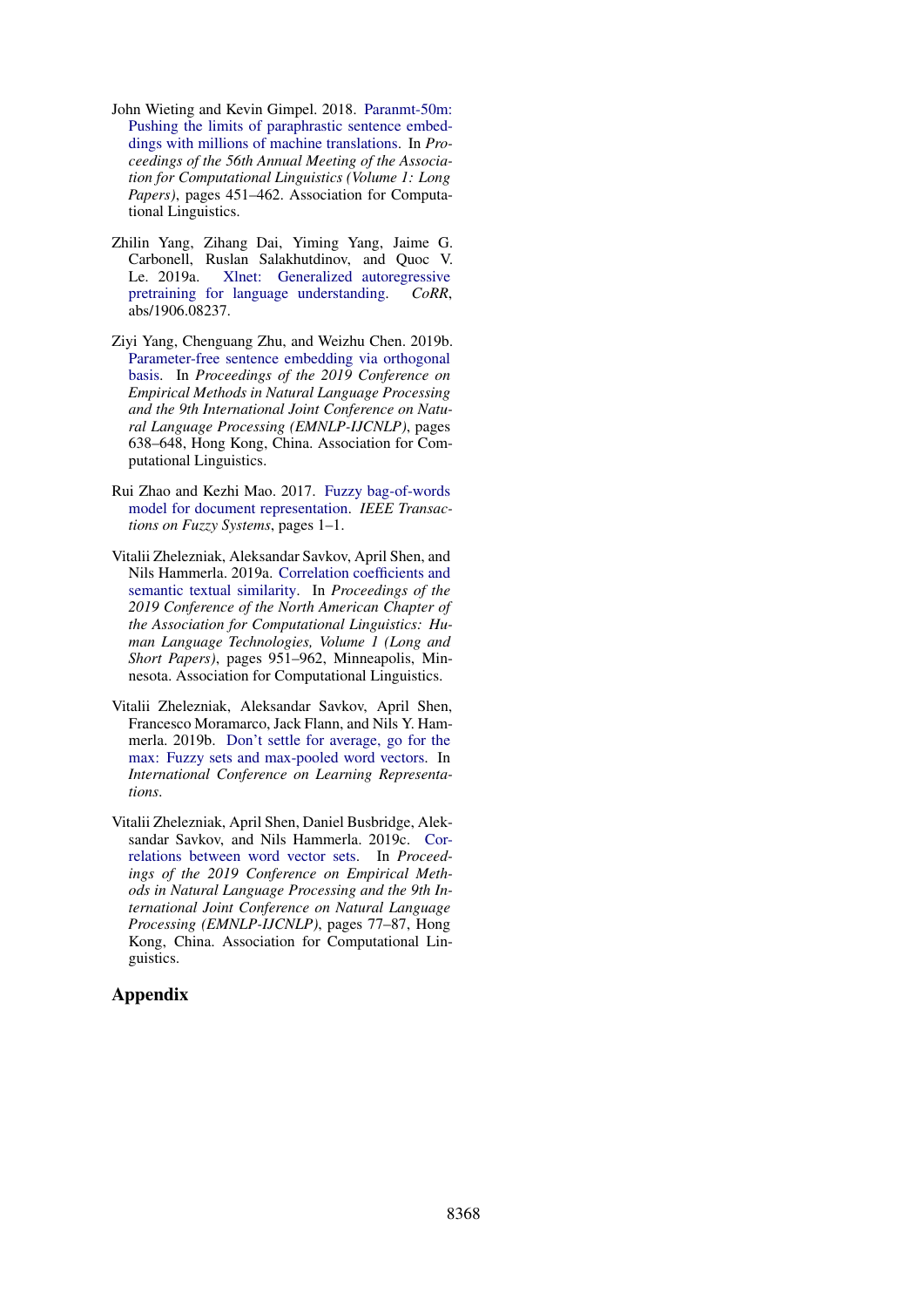- <span id="page-7-1"></span>John Wieting and Kevin Gimpel. 2018. [Paranmt-50m:](http://aclweb.org/anthology/P18-1042) [Pushing the limits of paraphrastic sentence embed](http://aclweb.org/anthology/P18-1042)[dings with millions of machine translations.](http://aclweb.org/anthology/P18-1042) In *Proceedings of the 56th Annual Meeting of the Association for Computational Linguistics (Volume 1: Long Papers)*, pages 451–462. Association for Computational Linguistics.
- <span id="page-7-0"></span>Zhilin Yang, Zihang Dai, Yiming Yang, Jaime G. Carbonell, Ruslan Salakhutdinov, and Quoc V. Le. 2019a. [Xlnet: Generalized autoregressive](http://arxiv.org/abs/1906.08237) [pretraining for language understanding.](http://arxiv.org/abs/1906.08237) *CoRR*, abs/1906.08237.
- <span id="page-7-6"></span>Ziyi Yang, Chenguang Zhu, and Weizhu Chen. 2019b. [Parameter-free sentence embedding via orthogonal](https://doi.org/10.18653/v1/D19-1059) [basis.](https://doi.org/10.18653/v1/D19-1059) In *Proceedings of the 2019 Conference on Empirical Methods in Natural Language Processing and the 9th International Joint Conference on Natural Language Processing (EMNLP-IJCNLP)*, pages 638–648, Hong Kong, China. Association for Computational Linguistics.
- <span id="page-7-5"></span>Rui Zhao and Kezhi Mao. 2017. [Fuzzy bag-of-words](https://doi.org/10.1109/tfuzz.2017.2690222) [model for document representation.](https://doi.org/10.1109/tfuzz.2017.2690222) *IEEE Transactions on Fuzzy Systems*, pages 1–1.
- <span id="page-7-3"></span>Vitalii Zhelezniak, Aleksandar Savkov, April Shen, and Nils Hammerla. 2019a. [Correlation coefficients and](https://doi.org/10.18653/v1/N19-1100) [semantic textual similarity.](https://doi.org/10.18653/v1/N19-1100) In *Proceedings of the 2019 Conference of the North American Chapter of the Association for Computational Linguistics: Human Language Technologies, Volume 1 (Long and Short Papers)*, pages 951–962, Minneapolis, Minnesota. Association for Computational Linguistics.
- <span id="page-7-2"></span>Vitalii Zhelezniak, Aleksandar Savkov, April Shen, Francesco Moramarco, Jack Flann, and Nils Y. Hammerla. 2019b. [Don't settle for average, go for the](https://openreview.net/forum?id=SkxXg2C5FX) [max: Fuzzy sets and max-pooled word vectors.](https://openreview.net/forum?id=SkxXg2C5FX) In *International Conference on Learning Representations*.
- <span id="page-7-4"></span>Vitalii Zhelezniak, April Shen, Daniel Busbridge, Aleksandar Savkov, and Nils Hammerla. 2019c. [Cor](https://doi.org/10.18653/v1/D19-1008)[relations between word vector sets.](https://doi.org/10.18653/v1/D19-1008) In *Proceedings of the 2019 Conference on Empirical Methods in Natural Language Processing and the 9th International Joint Conference on Natural Language Processing (EMNLP-IJCNLP)*, pages 77–87, Hong Kong, China. Association for Computational Linguistics.

## Appendix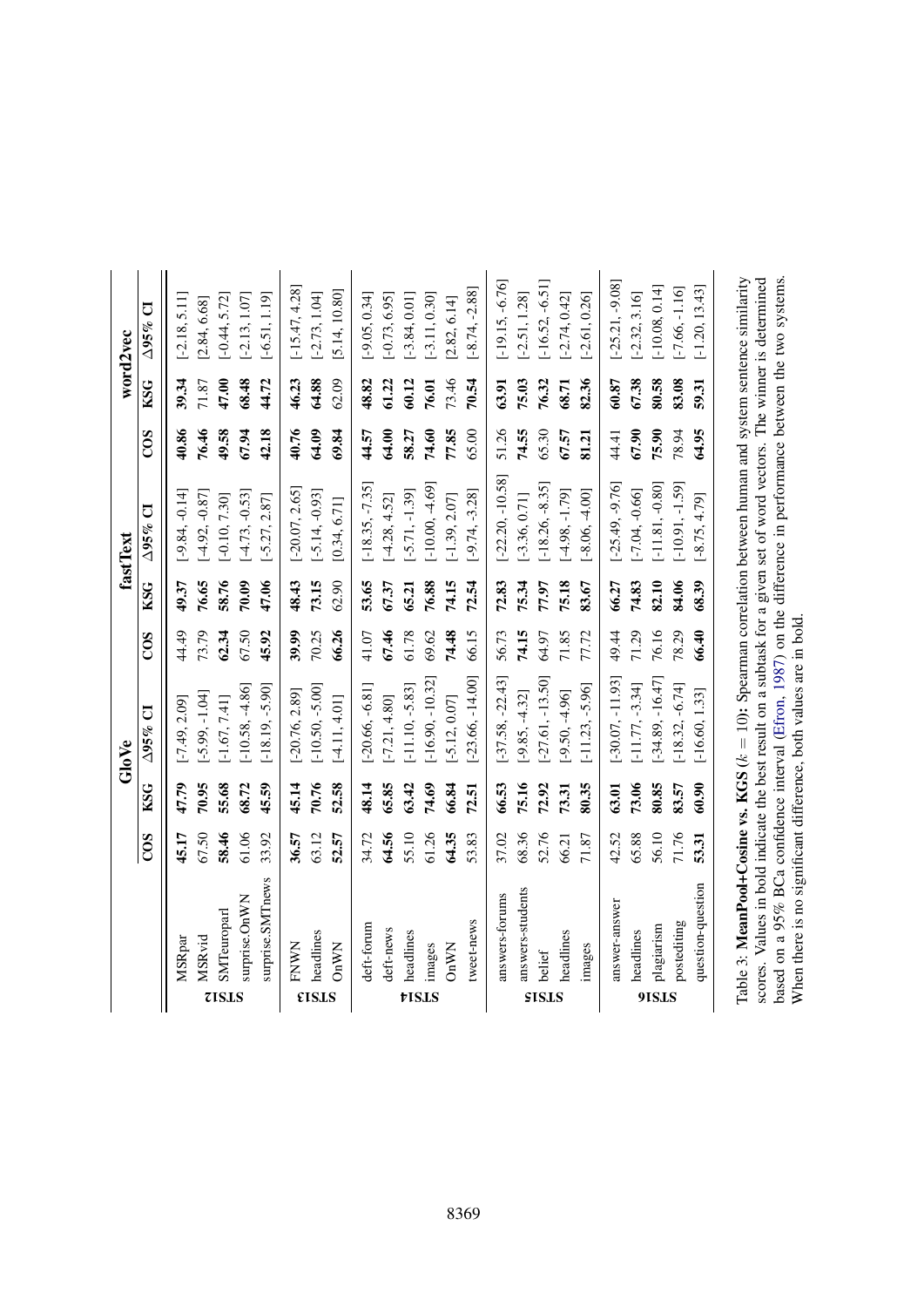|              |                                                                                                                                                                                                                                                                                                                                                             |       |            | GloVe              |                  |            | fastText                       |       |            | word2vec          |
|--------------|-------------------------------------------------------------------------------------------------------------------------------------------------------------------------------------------------------------------------------------------------------------------------------------------------------------------------------------------------------------|-------|------------|--------------------|------------------|------------|--------------------------------|-------|------------|-------------------|
|              |                                                                                                                                                                                                                                                                                                                                                             | COS   | <b>KSG</b> | $\Delta$ 95% CI    | $\overline{COS}$ | <b>KSG</b> | $\overline{C}$<br>$\Delta$ 95% | COS   | <b>KSG</b> | J<br>$\Delta$ 95% |
|              | MSRpar                                                                                                                                                                                                                                                                                                                                                      | 45.17 | 47.79      | $[-7.49, 2.09]$    | 44.49            | 49.37      | $[-9.84, -0.14]$               | 40.86 | 39.34      | $-2.18, 5.11$     |
|              | <b>MSRvid</b>                                                                                                                                                                                                                                                                                                                                               | 67.50 | 70.95      | $[-5.99, -1.04]$   | 73.79            | 76.65      | $[-4.92, -0.87]$               | 76.46 | 71.87      | [2.84, 6.68]      |
| <b>ZISLS</b> | SMTeuroparl                                                                                                                                                                                                                                                                                                                                                 | 58.46 | 55.68      | $[-1.67, 7.41]$    | 62.34            | 58.76      | $[-0.10, 7.30]$                | 49.58 | 47.00      | $-0.44, 5.72$     |
|              | surprise.OnWN                                                                                                                                                                                                                                                                                                                                               | 61.06 | 68.72      | $[-10.58, -4.86]$  | 67.50            | 70.09      | $[-4.73, -0.53]$               | 67.94 | 68.48      | $[-2.13, 1.07]$   |
|              | surprise.SMTnews                                                                                                                                                                                                                                                                                                                                            | 33.92 | 45.59      | $[-18.19, -5.90]$  | 45.92            | 47.06      | $[-5.27, 2.87]$                | 42.18 | 44.72      | $[-6.51, 1.19]$   |
|              | <b>FNWN</b>                                                                                                                                                                                                                                                                                                                                                 | 36.57 | 45.14      | $[-20.76, 2.89]$   | 39.99            | 48.43      | $[-20.07, 2.65]$               | 40.76 | 46.23      | $[-15.47, 4.28]$  |
| <b>EISLS</b> | headlines                                                                                                                                                                                                                                                                                                                                                   | 63.12 | 70.76      | $[-10.50, -5.00]$  | 70.25            | 73.15      | $[-5.14, -0.93]$               | 64.09 | 64.88      | $[-2.73, 1.04]$   |
|              | <b>OnWN</b>                                                                                                                                                                                                                                                                                                                                                 | 52.57 | 52.58      | $[-4.11, 4.01]$    | 66.26            | 62.90      | [0.34, 6.71]                   | 69.84 | 62.09      | [5.14, 10.80]     |
|              | deft-forum                                                                                                                                                                                                                                                                                                                                                  | 34.72 | 48.14      | $[-20.66, -6.81]$  | 41.07            | 53.65      | $[-18.35, -7.35]$              | 44.57 | 48.82      | $[-9.05, 0.34]$   |
|              | deft-news                                                                                                                                                                                                                                                                                                                                                   | 64.56 | 65.85      | $[-7.21, 4.80]$    | 67.46            | 67.37      | $[-4.28, 4.52]$                | 64.00 | 61.22      | $[-0.73, 6.95]$   |
|              | headlines                                                                                                                                                                                                                                                                                                                                                   | 55.10 | 63.42      | $[-11.10, -5.83]$  | 61.78            | 65.21      | $[-5.71, -1.39]$               | 58.27 | 60.12      | $-3.84, 0.01$     |
| tisis        | images                                                                                                                                                                                                                                                                                                                                                      | 61.26 | 74.69      | $-16.90, -10.32$   | 69.62            | 76.88      | $-10.00, -4.69$                | 74.60 | 76.01      | $[-3.11, 0.30]$   |
|              | OnWN                                                                                                                                                                                                                                                                                                                                                        | 64.35 | 66.84      | $[-5.12, 0.07]$    | 74.48            | 74.15      | $[-1.39, 2.07]$                | 77.85 | 73.46      | [2.82, 6.14]      |
|              | tweet-news                                                                                                                                                                                                                                                                                                                                                  | 53.83 | 72.51      | $[-23.66, -14.00]$ | 66.15            | 72.54      | $[-9.74, -3.28]$               | 65.00 | 70.54      | $[-8.74, -2.88]$  |
|              | answers-forums                                                                                                                                                                                                                                                                                                                                              | 37.02 | 66.53      | $[-37.58, -22.43]$ | 56.73            | 72.83      | $[-22.20, -10.58]$             | 51.26 | 63.91      | $[-19.15, -6.76]$ |
|              | answers-students                                                                                                                                                                                                                                                                                                                                            | 68.36 | 75.16      | $[-9.85, -4.32]$   | 74.15            | 75.34      | $[-3.36, 0.71]$                | 74.55 | 75.03      | $[-2.51, 1.28]$   |
| SISLS        | belief                                                                                                                                                                                                                                                                                                                                                      | 52.76 | 72.92      | $-27.61, -13.50$   | 64.97            | 77.97      | $-18.26, -8.35$                | 65.30 | 76.32      | $[-16.52, -6.51]$ |
|              | headlines                                                                                                                                                                                                                                                                                                                                                   | 66.21 | 73.31      | $[-9.50, -4.96]$   | 71.85            | 75.18      | $[-4.98, -1.79]$               | 67.57 | 68.71      | $[-2.74, 0.42]$   |
|              | images                                                                                                                                                                                                                                                                                                                                                      | 71.87 | 80.35      | $[-11.23, -5.96]$  | 77.72            | 83.67      | $[-8.06, -4.00]$               | 81.21 | 82.36      | $[-2.61, 0.26]$   |
|              | answer-answer                                                                                                                                                                                                                                                                                                                                               | 42.52 | 63.01      | $[-30.07, -11.93]$ | 49.44            | 66.27      | $[-25.49, -9.76]$              | 44.41 | 60.87      | $[-25.21, -9.08]$ |
|              | headlines                                                                                                                                                                                                                                                                                                                                                   | 65.88 | 73.06      | $[-11.77, -3.34]$  | 71.29            | 74.83      | $[-7.04, -0.66]$               | 67.90 | 67.38      | $[-2.32, 3.16]$   |
| 9ISIS        | plagiarism                                                                                                                                                                                                                                                                                                                                                  | 56.10 | 80.85      | $-34.89, -16.47$   | 76.16            | 82.10      | $[-11.81, -0.80]$              | 75.90 | 80.58      | $[-10.08, 0.14]$  |
|              | postediting                                                                                                                                                                                                                                                                                                                                                 | 71.76 | 83.57      | $[-18.32, -6.74]$  | 78.29            | 84.06      | $[-10.91, -1.59]$              | 78.94 | 83.08      | $[-7.66, -1.16]$  |
|              | question-question                                                                                                                                                                                                                                                                                                                                           | 53.31 | 60.90      | $[-16.60, 1.33]$   | 66.40            | 68.39      | $[-8.75, 4.79]$                | 64.95 | 59.31      | $[-1.20, 13.43]$  |
|              | based on a 95% BCa confidence interval (Efron, 1987) on the difference in performance between the two systems.<br>Table 3: MeanPool+Cosine vs. KGS $(k = 10)$ : Spearman correlation between human and system sentence similarity<br>scores. Values in bold indicate the best result on a subtask for a given set of word vectors. The winner is determined |       |            |                    |                  |            |                                |       |            |                   |
|              | When there is no significant difference, both values are in bold                                                                                                                                                                                                                                                                                            |       |            |                    |                  |            |                                |       |            |                   |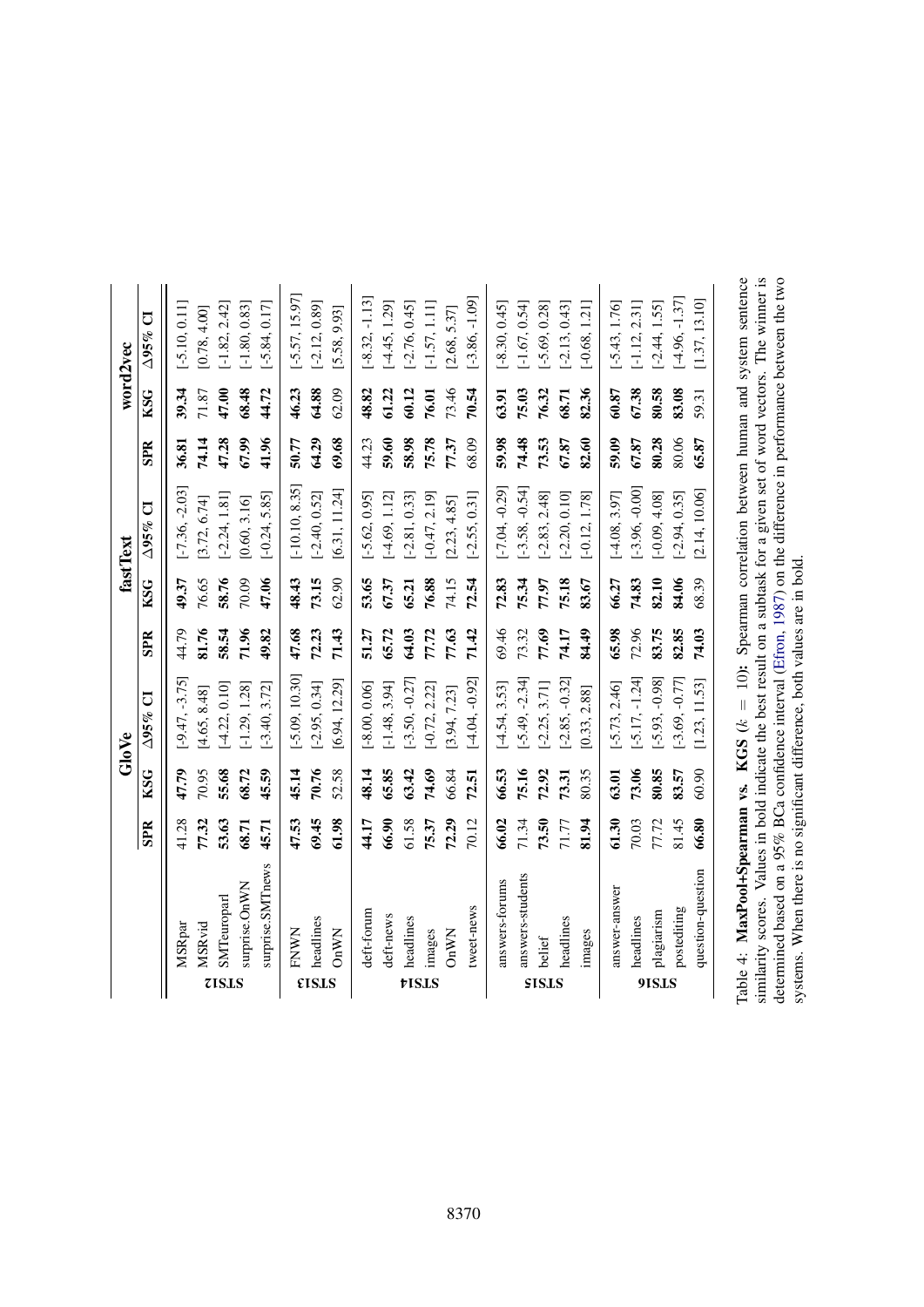|              |                   |            |            | GloVe            |            |            | fastText         |            |            | word2vec          |
|--------------|-------------------|------------|------------|------------------|------------|------------|------------------|------------|------------|-------------------|
|              |                   | <b>SPR</b> | <b>KSG</b> | $\Delta$ 95% CI  | <b>SPR</b> | <b>KSG</b> | $\Delta$ 95% CI  | <b>SPR</b> | <b>KSG</b> | J<br>$\Delta$ 95% |
|              | MSRpar            | 41.28      | 47.79      | $[-9.47, -3.75]$ | 44.79      | 49.37      | $-7.36, -2.03$   | 36.81      | 39.34      | $[-5.10, 0.11]$   |
|              | MSRvid            | 77.32      | 70.95      | [4.65, 8.48]     | 81.76      | 76.65      | [3.72, 6.74]     | 74.14      | 71.87      | [0.78, 4.00]      |
| <b>7ISLS</b> | SMTeuroparl       | 53.63      | 55.68      | $[-4.22, 0.10]$  | 58.54      | 58.76      | $[-2.24, 1.81]$  | 47.28      | 47.00      | $[-1.82, 2.42]$   |
|              | surprise.OnWN     | 68.71      | 68.72      | $[-1.29, 1.28]$  | 71.96      | 70.09      | [0.60, 3.16]     | 67.99      | 68.48      | $[-1.80, 0.83]$   |
|              | surprise.SMTnews  | 45.71      | 45.59      | $[-3.40, 3.72]$  | 49.82      | 47.06      | $[-0.24, 5.85]$  | 41.96      | 44.72      | $[-5.84, 0.17]$   |
|              | FNWN              | 47.53      | 45.14      | $[-5.09, 10.30]$ | 47.68      | 48.43      | $[-10.10, 8.35]$ | 50.77      | 46.23      | $[-5.57, 15.97]$  |
| <b>EISLS</b> | headlines         | 69.45      | 70.76      | $[-2.95, 0.34]$  | 72.23      | 73.15      | $[-2.40, 0.52]$  | 64.29      | 64.88      | $[-2.12, 0.89]$   |
|              | OnWN              | 61.98      | 52.58      | [6.94, 12.29]    | 71.43      | 62.90      | [6.31, 11.24]    | 69.68      | 62.09      | [5.58, 9.93]      |
|              | deft-forum        | 44.17      | 48.14      | $[-8.00, 0.06]$  | 51.27      | 53.65      | $[-5.62, 0.95]$  | 44.23      | 48.82      | $[-8.32, -1.13]$  |
|              | deft-news         | 66.90      | 65.85      | $-1.48, 3.94$    | 65.72      | 67.37      | $-4.69, 1.12$    | 59.60      | 61.22      | $-4.45, 1.29$     |
| tISLS        | headlines         | 61.58      | 63.42      | $[-3.50, -0.27]$ | 64.03      | 65.21      | $[-2.81, 0.33]$  | 58.98      | 60.12      | $[-2.76, 0.45]$   |
|              | images            | 75.37      | 74.69      | $[-0.72, 2.22]$  | 77.72      | 76.88      | $-0.47, 2.19$    | 75.78      | 76.01      | $-1.57, 1.11$     |
|              | OnWNN             | 72.29      | 66.84      | [3.94, 7.23]     | 77.63      | 74.15      | [2.23, 4.85]     | 77.37      | 73.46      | [2.68, 5.37]      |
|              | tweet-news        | 70.12      | 72.51      | $[-4.04, -0.92]$ | 71.42      | 72.54      | $[-2.55, 0.31]$  | 68.09      | 70.54      | $[-3.86, -1.09]$  |
|              | answers-forums    | 66.02      | 66.53      | $-4.54, 3.53$    | 69.46      | 72.83      | $-7.04, -0.29$   | 59.98      | 63.91      | $[-8.30, 0.45]$   |
|              | answers-students  | 71.34      | 75.16      | $[-5.49, -2.34]$ | 73.32      | 5.34       | $-3.58, -0.54$   | 74.48      | 75.03      | $[-1.67, 0.54]$   |
| <b>SISLS</b> | belief            | 73.50      | 72.92      | $[-2.25, 3.71]$  | 77.69      | 77.97      | $[-2.83, 2.48]$  | 73.53      | 76.32      | $[-5.69, 0.28]$   |
|              | headlines         | 71.77      | 73.31      | $-2.85, -0.32$   | 74.17      | 5.18       | $-2.20, 0.10$    | 67.87      | 68.71      | $[-2.13, 0.43]$   |
|              | images            | 81.94      | 80.35      | [0.33, 2.88]     | 84.49      | 83.67      | $[-0.12, 1.78]$  | 82.60      | 82.36      | $[-0.68, 1.21]$   |
|              | answer-answer     | 61.30      | 63.01      | $[-5.73, 2.46]$  | 65.98      | 66.27      | $-4.08, 3.97$    | 59.09      | 60.87      | $[-5.43, 1.76]$   |
|              | headlines         | 70.03      | 73.06      | $[-5.17, -1.24]$ | 72.96      | 74.83      | $-3.96, -0.00$   | 67.87      | 67.38      | $[-1.12, 2.31]$   |
| 9ISLS        | plagiarism        | 77.72      | 80.85      | $[-5.93, -0.98]$ | 83.75      | 82.10      | $-0.09, 4.08$    | 80.28      | 80.58      | $-2.44, 1.55$     |
|              | postediting       | 81.45      | 83.57      | $[-3.69, -0.77]$ | 82.85      | 84.06      | $[-2.94, 0.35]$  | 80.06      | 83.08      | $[-4.96, -1.37]$  |
|              | question-question | 66.80      | 60.90      | [1.23, 11.53]    | 74.03      | 68.39      | 2.14, 10.06      | 65.87      | 59.31      | [1.37, 13.10]     |
|              |                   |            |            |                  |            |            |                  |            |            |                   |

Table 4: **MaxPool+Spearman vs. KGS** ( $k = 10$ ): Spearman correlation between human and system sentence similarity scores. Values in bold indicate the best result on a subtask for a given set of word vectors. The winner is similarity scores. Values in bold indicate the best result on a subtask for a given set of word vectors. The winner is  $k = 10$ ): Spearman correlation between human and system sentence determined based on a 95% BCa confidence interval [\(Efron,](#page-5-21) [1987\)](#page-5-21) on the difference in performance between the two systems. When there is no significant difference, both values are in bold. systems. When there is no significant difference, both values are in bold.Table 4: MaxPool+Spearman vs. KGS (